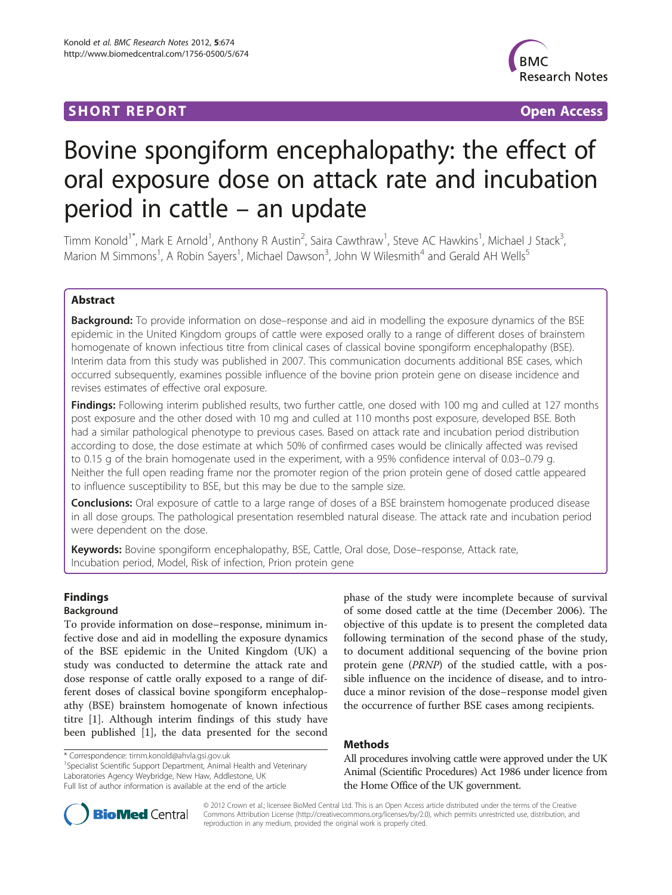# **SHORT REPORT SHORT CONSUMING THE SHORT CONSUMING THE SHORT CONSUMING THE SHORT CONSUMING THE SHORT CONSUMING THE SHORT CONSUMING THE SHORT CONSUMING THE SHORT CONSUMING THE SHORT CONSUMING THE SHORT CONSUMING THE SHORT**



# Bovine spongiform encephalopathy: the effect of oral exposure dose on attack rate and incubation period in cattle – an update

Timm Konold<sup>1\*</sup>, Mark E Arnold<sup>1</sup>, Anthony R Austin<sup>2</sup>, Saira Cawthraw<sup>1</sup>, Steve AC Hawkins<sup>1</sup>, Michael J Stack<sup>3</sup> , Marion M Simmons<sup>1</sup>, A Robin Sayers<sup>1</sup>, Michael Dawson<sup>3</sup>, John W Wilesmith<sup>4</sup> and Gerald AH Wells<sup>5</sup>

# Abstract

**Background:** To provide information on dose–response and aid in modelling the exposure dynamics of the BSE epidemic in the United Kingdom groups of cattle were exposed orally to a range of different doses of brainstem homogenate of known infectious titre from clinical cases of classical bovine spongiform encephalopathy (BSE). Interim data from this study was published in 2007. This communication documents additional BSE cases, which occurred subsequently, examines possible influence of the bovine prion protein gene on disease incidence and revises estimates of effective oral exposure.

**Findings:** Following interim published results, two further cattle, one dosed with 100 mg and culled at 127 months post exposure and the other dosed with 10 mg and culled at 110 months post exposure, developed BSE. Both had a similar pathological phenotype to previous cases. Based on attack rate and incubation period distribution according to dose, the dose estimate at which 50% of confirmed cases would be clinically affected was revised to 0.15 g of the brain homogenate used in the experiment, with a 95% confidence interval of 0.03–0.79 g. Neither the full open reading frame nor the promoter region of the prion protein gene of dosed cattle appeared to influence susceptibility to BSE, but this may be due to the sample size.

Conclusions: Oral exposure of cattle to a large range of doses of a BSE brainstem homogenate produced disease in all dose groups. The pathological presentation resembled natural disease. The attack rate and incubation period were dependent on the dose.

Keywords: Bovine spongiform encephalopathy, BSE, Cattle, Oral dose, Dose–response, Attack rate, Incubation period, Model, Risk of infection, Prion protein gene

# Findings

# Background

To provide information on dose–response, minimum infective dose and aid in modelling the exposure dynamics of the BSE epidemic in the United Kingdom (UK) a study was conducted to determine the attack rate and dose response of cattle orally exposed to a range of different doses of classical bovine spongiform encephalopathy (BSE) brainstem homogenate of known infectious titre [[1\]](#page-6-0). Although interim findings of this study have been published [\[1](#page-6-0)], the data presented for the second

\* Correspondence: [timm.konold@ahvla.gsi.gov.uk](mailto:timm.konold@ahvla.gsi.gov.uk) <sup>1</sup>

<sup>1</sup>Specialist Scientific Support Department, Animal Health and Veterinary Laboratories Agency Weybridge, New Haw, Addlestone, UK

phase of the study were incomplete because of survival of some dosed cattle at the time (December 2006). The objective of this update is to present the completed data following termination of the second phase of the study, to document additional sequencing of the bovine prion protein gene (PRNP) of the studied cattle, with a possible influence on the incidence of disease, and to introduce a minor revision of the dose–response model given the occurrence of further BSE cases among recipients.

# Methods

All procedures involving cattle were approved under the UK Animal (Scientific Procedures) Act 1986 under licence from the Home Office of the UK government.



© 2012 Crown et al.; licensee BioMed Central Ltd. This is an Open Access article distributed under the terms of the Creative Commons Attribution License [\(http://creativecommons.org/licenses/by/2.0\)](http://creativecommons.org/licenses/by/2.0), which permits unrestricted use, distribution, and reproduction in any medium, provided the original work is properly cited.

Full list of author information is available at the end of the article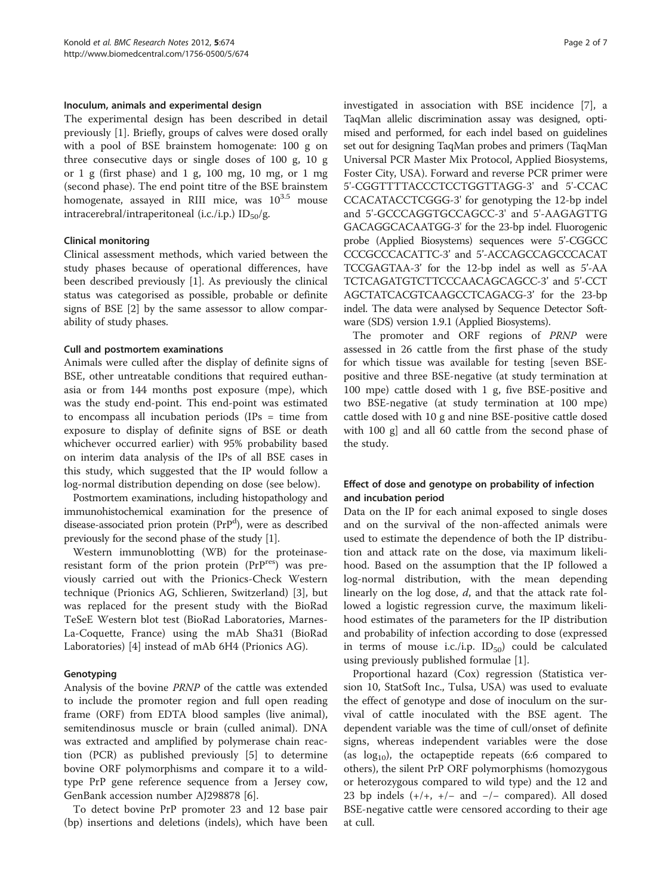#### Inoculum, animals and experimental design

The experimental design has been described in detail previously [[1](#page-6-0)]. Briefly, groups of calves were dosed orally with a pool of BSE brainstem homogenate: 100 g on three consecutive days or single doses of 100 g, 10 g or  $1 \text{ g}$  (first phase) and  $1 \text{ g}$ ,  $100 \text{ mg}$ ,  $10 \text{ mg}$ , or  $1 \text{ mg}$ (second phase). The end point titre of the BSE brainstem homogenate, assayed in RIII mice, was  $10^{3.5}$  mouse intracerebral/intraperitoneal (i.c./i.p.)  $ID_{50}/g$ .

#### Clinical monitoring

Clinical assessment methods, which varied between the study phases because of operational differences, have been described previously [[1\]](#page-6-0). As previously the clinical status was categorised as possible, probable or definite signs of BSE [[2\]](#page-6-0) by the same assessor to allow comparability of study phases.

#### Cull and postmortem examinations

Animals were culled after the display of definite signs of BSE, other untreatable conditions that required euthanasia or from 144 months post exposure (mpe), which was the study end-point. This end-point was estimated to encompass all incubation periods (IPs = time from exposure to display of definite signs of BSE or death whichever occurred earlier) with 95% probability based on interim data analysis of the IPs of all BSE cases in this study, which suggested that the IP would follow a log-normal distribution depending on dose (see below).

Postmortem examinations, including histopathology and immunohistochemical examination for the presence of disease-associated prion protein (PrP<sup>d</sup>), were as described previously for the second phase of the study [\[1\]](#page-6-0).

Western immunoblotting (WB) for the proteinaseresistant form of the prion protein (PrPres) was previously carried out with the Prionics-Check Western technique (Prionics AG, Schlieren, Switzerland) [[3\]](#page-6-0), but was replaced for the present study with the BioRad TeSeE Western blot test (BioRad Laboratories, Marnes-La-Coquette, France) using the mAb Sha31 (BioRad Laboratories) [\[4](#page-6-0)] instead of mAb 6H4 (Prionics AG).

### Genotyping

Analysis of the bovine PRNP of the cattle was extended to include the promoter region and full open reading frame (ORF) from EDTA blood samples (live animal), semitendinosus muscle or brain (culled animal). DNA was extracted and amplified by polymerase chain reaction (PCR) as published previously [[5](#page-6-0)] to determine bovine ORF polymorphisms and compare it to a wildtype PrP gene reference sequence from a Jersey cow, GenBank accession number AJ298878 [\[6](#page-6-0)].

To detect bovine PrP promoter 23 and 12 base pair (bp) insertions and deletions (indels), which have been investigated in association with BSE incidence [[7\]](#page-6-0), a TaqMan allelic discrimination assay was designed, optimised and performed, for each indel based on guidelines set out for designing TaqMan probes and primers (TaqMan Universal PCR Master Mix Protocol, Applied Biosystems, Foster City, USA). Forward and reverse PCR primer were 5'-CGGTTTTACCCTCCTGGTTAGG-3' and 5'-CCAC CCACATACCTCGGG-3' for genotyping the 12-bp indel and 5'-GCCCAGGTGCCAGCC-3' and 5'-AAGAGTTG GACAGGCACAATGG-3' for the 23-bp indel. Fluorogenic probe (Applied Biosystems) sequences were 5'-CGGCC CCCGCCCACATTC-3' and 5'-ACCAGCCAGCCCACAT TCCGAGTAA-3' for the 12-bp indel as well as 5'-AA TCTCAGATGTCTTCCCAACAGCAGCC-3' and 5'-CCT AGCTATCACGTCAAGCCTCAGACG-3' for the 23-bp indel. The data were analysed by Sequence Detector Software (SDS) version 1.9.1 (Applied Biosystems).

The promoter and ORF regions of PRNP were assessed in 26 cattle from the first phase of the study for which tissue was available for testing [seven BSEpositive and three BSE-negative (at study termination at 100 mpe) cattle dosed with 1 g, five BSE-positive and two BSE-negative (at study termination at 100 mpe) cattle dosed with 10 g and nine BSE-positive cattle dosed with 100 g] and all 60 cattle from the second phase of the study.

# Effect of dose and genotype on probability of infection and incubation period

Data on the IP for each animal exposed to single doses and on the survival of the non-affected animals were used to estimate the dependence of both the IP distribution and attack rate on the dose, via maximum likelihood. Based on the assumption that the IP followed a log-normal distribution, with the mean depending linearly on the log dose, d, and that the attack rate followed a logistic regression curve, the maximum likelihood estimates of the parameters for the IP distribution and probability of infection according to dose (expressed in terms of mouse i.c./i.p.  $ID_{50}$  could be calculated using previously published formulae [\[1\]](#page-6-0).

Proportional hazard (Cox) regression (Statistica version 10, StatSoft Inc., Tulsa, USA) was used to evaluate the effect of genotype and dose of inoculum on the survival of cattle inoculated with the BSE agent. The dependent variable was the time of cull/onset of definite signs, whereas independent variables were the dose (as  $log_{10}$ ), the octapeptide repeats (6:6 compared to others), the silent PrP ORF polymorphisms (homozygous or heterozygous compared to wild type) and the 12 and 23 bp indels  $(+/+, +/-$  and  $-/-$  compared). All dosed BSE-negative cattle were censored according to their age at cull.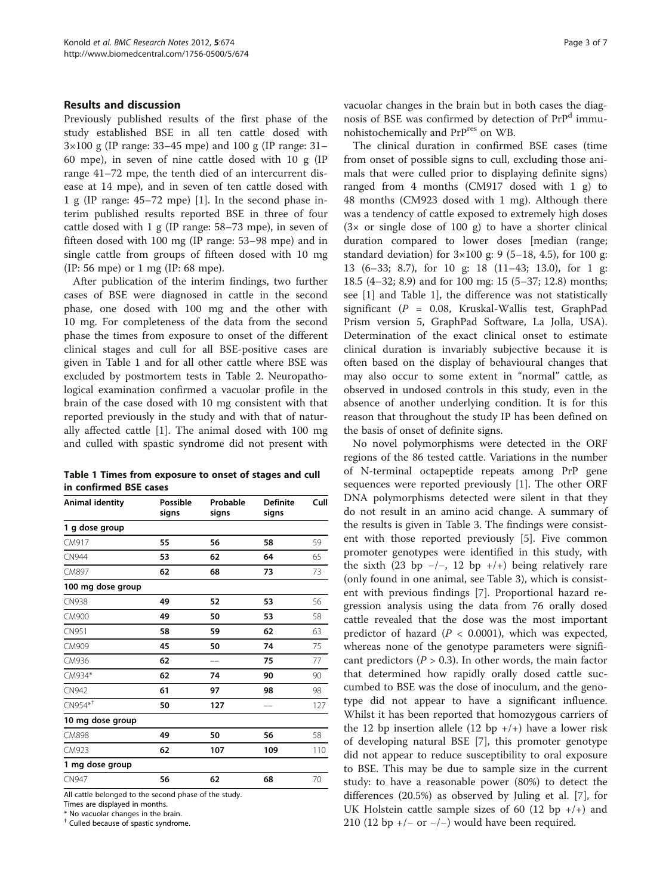#### <span id="page-2-0"></span>Results and discussion

Previously published results of the first phase of the study established BSE in all ten cattle dosed with 3×100 g (IP range: 33–45 mpe) and 100 g (IP range: 31– 60 mpe), in seven of nine cattle dosed with 10 g (IP range 41–72 mpe, the tenth died of an intercurrent disease at 14 mpe), and in seven of ten cattle dosed with 1 g (IP range: 45–72 mpe) [\[1\]](#page-6-0). In the second phase interim published results reported BSE in three of four cattle dosed with 1 g (IP range: 58–73 mpe), in seven of fifteen dosed with 100 mg (IP range: 53–98 mpe) and in single cattle from groups of fifteen dosed with 10 mg (IP: 56 mpe) or 1 mg (IP: 68 mpe).

After publication of the interim findings, two further cases of BSE were diagnosed in cattle in the second phase, one dosed with 100 mg and the other with 10 mg. For completeness of the data from the second phase the times from exposure to onset of the different clinical stages and cull for all BSE-positive cases are given in Table 1 and for all other cattle where BSE was excluded by postmortem tests in Table [2](#page-3-0). Neuropathological examination confirmed a vacuolar profile in the brain of the case dosed with 10 mg consistent with that reported previously in the study and with that of naturally affected cattle [[1\]](#page-6-0). The animal dosed with 100 mg and culled with spastic syndrome did not present with

Table 1 Times from exposure to onset of stages and cull in confirmed BSE cases

| Animal identity                                                                                         | Possible<br>signs | Probable<br>signs          | <b>Definite</b><br>signs | Cull |
|---------------------------------------------------------------------------------------------------------|-------------------|----------------------------|--------------------------|------|
| 1 g dose group                                                                                          |                   |                            |                          |      |
| CM917                                                                                                   | 55                | 56                         | 58                       | 59   |
| <b>CN944</b>                                                                                            | 53                | 62                         | 64                       | 65   |
| CM897                                                                                                   | 62                | 68                         | 73                       | 73   |
| 100 mg dose group                                                                                       |                   |                            |                          |      |
| <b>CN938</b>                                                                                            | 49                | 52                         | 53                       | 56   |
| CM900                                                                                                   | 49                | 50                         | 53                       | 58   |
| CN951                                                                                                   | 58                | 59                         | 62                       | 63   |
| CM909                                                                                                   | 45                | 50                         | 74                       | 75   |
| CM936                                                                                                   | 62                |                            | 75                       | 77   |
| CM934*                                                                                                  | 62                | 74                         | 90                       | 90   |
| CN942                                                                                                   | 61                | 97                         | 98                       | 98   |
| $CN954**$                                                                                               | 50                | 127                        |                          | 127  |
| 10 mg dose group                                                                                        |                   |                            |                          |      |
| <b>CM898</b>                                                                                            | 49                | 50                         | 56                       | 58   |
| CM923                                                                                                   | 62                | 107                        | 109                      | 110  |
| 1 mg dose group                                                                                         |                   |                            |                          |      |
| <b>CN947</b>                                                                                            | 56                | 62                         | 68                       | 70   |
| $\frac{1}{2}$ and $\frac{1}{2}$ and $\frac{1}{2}$ and $\frac{1}{2}$ and $\frac{1}{2}$ and $\frac{1}{2}$ | $\mathbf{r}$      | $\sim$ $\sim$ $\sim$<br>٠. |                          |      |

All cattle belonged to the second phase of the study.

Times are displayed in months.

\* No vacuolar changes in the brain.

† Culled because of spastic syndrome.

vacuolar changes in the brain but in both cases the diagnosis of BSE was confirmed by detection of PrP<sup>d</sup> immunohistochemically and PrPres on WB.

The clinical duration in confirmed BSE cases (time from onset of possible signs to cull, excluding those animals that were culled prior to displaying definite signs) ranged from 4 months (CM917 dosed with 1 g) to 48 months (CM923 dosed with 1 mg). Although there was a tendency of cattle exposed to extremely high doses  $(3 \times$  or single dose of 100 g) to have a shorter clinical duration compared to lower doses [median (range; standard deviation) for  $3 \times 100$  g: 9 (5-18, 4.5), for 100 g: 13 (6–33; 8.7), for 10 g: 18 (11–43; 13.0), for 1 g: 18.5 (4–32; 8.9) and for 100 mg: 15 (5–37; 12.8) months; see [\[1](#page-6-0)] and Table 1], the difference was not statistically significant ( $P = 0.08$ , Kruskal-Wallis test, GraphPad Prism version 5, GraphPad Software, La Jolla, USA). Determination of the exact clinical onset to estimate clinical duration is invariably subjective because it is often based on the display of behavioural changes that may also occur to some extent in "normal" cattle, as observed in undosed controls in this study, even in the absence of another underlying condition. It is for this reason that throughout the study IP has been defined on the basis of onset of definite signs.

No novel polymorphisms were detected in the ORF regions of the 86 tested cattle. Variations in the number of N-terminal octapeptide repeats among PrP gene sequences were reported previously [\[1](#page-6-0)]. The other ORF DNA polymorphisms detected were silent in that they do not result in an amino acid change. A summary of the results is given in Table [3.](#page-4-0) The findings were consistent with those reported previously [\[5](#page-6-0)]. Five common promoter genotypes were identified in this study, with the sixth (23 bp  $-/-$ , 12 bp  $+/+$ ) being relatively rare (only found in one animal, see Table [3\)](#page-4-0), which is consistent with previous findings [\[7](#page-6-0)]. Proportional hazard regression analysis using the data from 76 orally dosed cattle revealed that the dose was the most important predictor of hazard ( $P < 0.0001$ ), which was expected, whereas none of the genotype parameters were significant predictors ( $P > 0.3$ ). In other words, the main factor that determined how rapidly orally dosed cattle succumbed to BSE was the dose of inoculum, and the genotype did not appear to have a significant influence. Whilst it has been reported that homozygous carriers of the 12 bp insertion allele (12 bp  $+/-$ ) have a lower risk of developing natural BSE [\[7](#page-6-0)], this promoter genotype did not appear to reduce susceptibility to oral exposure to BSE. This may be due to sample size in the current study: to have a reasonable power (80%) to detect the differences (20.5%) as observed by Juling et al. [\[7](#page-6-0)], for UK Holstein cattle sample sizes of 60 (12 bp  $+/-$ ) and 210 (12 bp +/- or -/-) would have been required.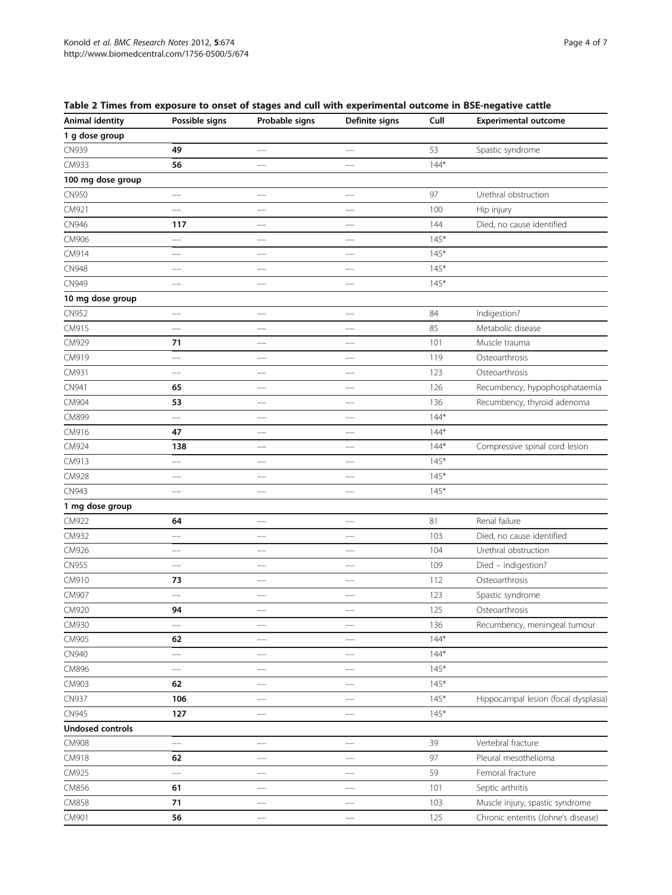| <b>Animal identity</b>  | Possible signs           | Probable signs           | Definite signs           | Cull   | <b>Experimental outcome</b>          |
|-------------------------|--------------------------|--------------------------|--------------------------|--------|--------------------------------------|
| 1 g dose group          |                          |                          |                          |        |                                      |
| CN939                   | 49                       | $-$                      | $\overline{\phantom{a}}$ | 53     | Spastic syndrome                     |
| CM933                   | 56                       | --                       | --                       | $144*$ |                                      |
| 100 mg dose group       |                          |                          |                          |        |                                      |
| CN950                   | $\qquad \qquad -$        | --                       | $\overline{\phantom{0}}$ | 97     | Urethral obstruction                 |
| CM921                   | $-$                      | $\overline{\phantom{a}}$ | $\overline{\phantom{a}}$ | 100    | Hip injury                           |
| CN946                   | 117                      | $-$                      | $-$                      | 144    | Died, no cause identified            |
| CM906                   | --                       | $-$                      | $-$                      | $145*$ |                                      |
| CM914                   | --                       | --                       | --                       | $145*$ |                                      |
| CN948                   | --                       | --                       | --                       | $145*$ |                                      |
| CN949                   | --                       | --                       | --                       | $145*$ |                                      |
| 10 mg dose group        |                          |                          |                          |        |                                      |
| CN952                   | --                       | --                       | $-$                      | 84     | Indigestion?                         |
| CM915                   | --                       |                          |                          | 85     | Metabolic disease                    |
| CM929                   | 71                       | --                       | $\overline{\phantom{a}}$ | 101    | Muscle trauma                        |
| CM919                   | ——                       |                          | ——                       | 119    | Osteoarthrosis                       |
| CM931                   | $-$                      | $-$                      | $-$                      | 123    | Osteoarthrosis                       |
| CN941                   | 65                       | $\overline{\phantom{0}}$ | --                       | 126    | Recumbency, hypophosphataemia        |
| CM904                   | 53                       |                          | --                       | 136    | Recumbency, thyroid adenoma          |
| CM899                   | --                       | $-$                      | $-$                      | $144*$ |                                      |
| CM916                   | 47                       |                          |                          | $144*$ |                                      |
| CM924                   | 138                      | --                       | --                       | $144*$ | Compressive spinal cord lesion       |
| CM913                   | $\equiv$                 | --                       | $-$                      | $145*$ |                                      |
| CM928                   | --                       |                          | --                       | $145*$ |                                      |
| CN943                   | $-$                      | $-$                      | $-$                      | $145*$ |                                      |
| 1 mg dose group         |                          |                          |                          |        |                                      |
| CM922                   | 64                       | $-$                      | $\overline{\phantom{a}}$ | 81     | Renal failure                        |
| CM932                   | $-$                      | $\overline{\phantom{a}}$ | $\overline{\phantom{a}}$ | 103    | Died, no cause identified            |
| CM926                   | --                       |                          | --                       | 104    | Urethral obstruction                 |
| <b>CN955</b>            | --                       | $-$                      | $-$                      | 109    | Died - indigestion?                  |
| CM910                   | 73                       |                          | --                       | 112    | Osteoarthrosis                       |
| CM907                   | $-$                      | --                       | --                       | 123    | Spastic syndrome                     |
| CM920                   | 94                       | $\overline{\phantom{0}}$ | $-$                      | 125    | Osteoarthrosis                       |
| CM930                   | --                       |                          |                          | 136    | Recumbency, meningeal tumour         |
| CM905                   | 62                       | --                       | --                       | $144*$ |                                      |
| CN940                   | $\overline{\phantom{a}}$ |                          |                          | $144*$ |                                      |
| CM896                   | $-$                      | --                       | $-$                      | $145*$ |                                      |
| CM903                   | 62                       | $-$                      | $-$                      | $145*$ |                                      |
| <b>CN937</b>            | 106                      |                          |                          | $145*$ | Hippocampal lesion (focal dysplasia) |
| CN945                   |                          |                          |                          | $145*$ |                                      |
| <b>Undosed controls</b> | 127                      | --                       | --                       |        |                                      |
|                         |                          |                          |                          |        |                                      |
| CM908                   | $\qquad \qquad -$        | --                       | --                       | 39     | Vertebral fracture                   |
| CM918                   | 62                       | $-$                      | --                       | 97     | Pleural mesothelioma                 |
| CM925                   | --                       |                          |                          | 59     | Femoral fracture                     |
| CM856                   | 61                       | --                       | --                       | 101    | Septic arthritis                     |
| CM858                   | 71                       |                          |                          | 103    | Muscle injury, spastic syndrome      |
| CM901                   | 56                       | --                       | $-$                      | 125    | Chronic enteritis (Johne's disease)  |

<span id="page-3-0"></span>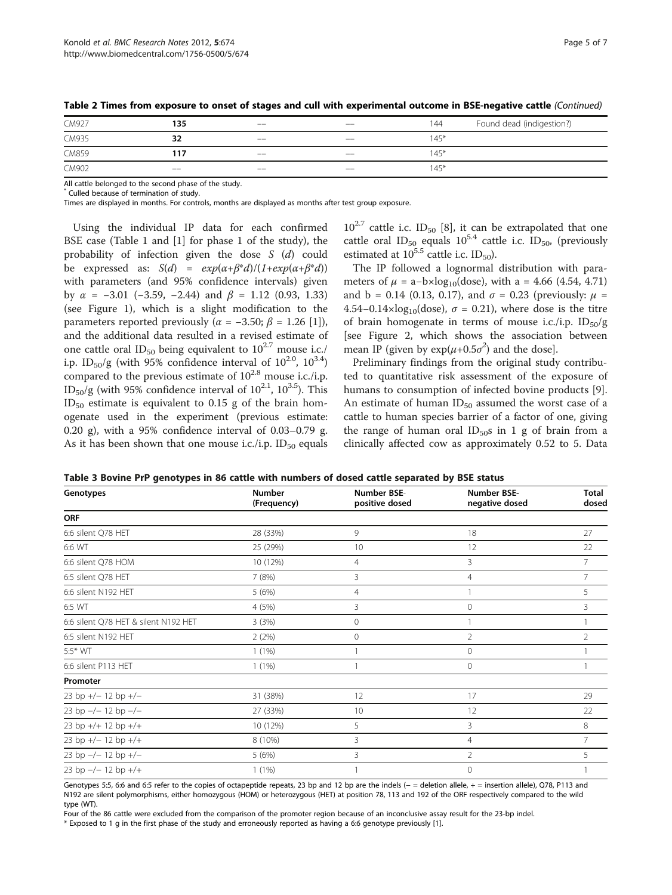| CM927 | 135   | $-$   | $- -$ | 144    | Found dead (indigestion?) |
|-------|-------|-------|-------|--------|---------------------------|
| CM935 | 32    | $- -$ | $- -$ | $145*$ |                           |
| CM859 | 117   | $-$   | $- -$ | $145*$ |                           |
| CM902 | $- -$ | $ -$  | $- -$ | $145*$ |                           |
|       |       |       |       |        |                           |

<span id="page-4-0"></span>Table 2 Times from exposure to onset of stages and cull with experimental outcome in BSE-negative cattle (Continued)

All cattle belonged to the second phase of the study.

Culled because of termination of study.

Times are displayed in months. For controls, months are displayed as months after test group exposure.

Using the individual IP data for each confirmed BSE case (Table [1](#page-2-0) and [[1](#page-6-0)] for phase 1 of the study), the probability of infection given the dose S (d) could be expressed as:  $S(d) = exp(\alpha + \beta^*d)/(1+exp(\alpha + \beta^*d))$ with parameters (and 95% confidence intervals) given by  $\alpha$  = -3.01 (-3.59, -2.44) and  $\beta$  = 1.12 (0.93, 1.33) (see Figure [1\)](#page-5-0), which is a slight modification to the parameters reported previously ( $\alpha$  = -3.50;  $\beta$  = 1.26 [\[1](#page-6-0)]), and the additional data resulted in a revised estimate of one cattle oral ID<sub>50</sub> being equivalent to  $10^{2.7}$  mouse i.c./ i.p. ID<sub>50</sub>/g (with 95% confidence interval of  $10^{2.0}$ ,  $10^{3.4}$ ) compared to the previous estimate of  $10^{2.8}$  mouse i.c./i.p. ID<sub>50</sub>/g (with 95% confidence interval of  $10^{2.1}$ ,  $10^{3.5}$ ). This  $ID_{50}$  estimate is equivalent to 0.15 g of the brain homogenate used in the experiment (previous estimate: 0.20 g), with a 95% confidence interval of 0.03–0.79 g. As it has been shown that one mouse i.c./i.p.  $ID_{50}$  equals

 $10^{2.7}$  cattle i.c. ID<sub>50</sub> [[8](#page-6-0)], it can be extrapolated that one cattle oral ID<sub>50</sub> equals  $10^{5.4}$  cattle i.c. ID<sub>50</sub>, (previously estimated at  $10^{5.5}$  cattle i.c. ID<sub>50</sub>).

The IP followed a lognormal distribution with parameters of  $\mu = a - b \times log_{10}(dose)$ , with a = 4.66 (4.54, 4.71) and b = 0.14 (0.13, 0.17), and  $\sigma = 0.23$  (previously:  $\mu =$ 4.54–0.14×log<sub>10</sub>(dose),  $\sigma$  = 0.21), where dose is the titre of brain homogenate in terms of mouse i.c./i.p.  $ID_{50}/g$ [see Figure [2,](#page-5-0) which shows the association between mean IP (given by  $exp(\mu+0.5\sigma^2)$  and the dose].

Preliminary findings from the original study contributed to quantitative risk assessment of the exposure of humans to consumption of infected bovine products [\[9](#page-6-0)]. An estimate of human  $ID_{50}$  assumed the worst case of a cattle to human species barrier of a factor of one, giving the range of human oral  $ID_{50}$ s in 1 g of brain from a clinically affected cow as approximately 0.52 to 5. Data

|  |  | Table 3 Bovine PrP genotypes in 86 cattle with numbers of dosed cattle separated by BSE status |  |  |  |
|--|--|------------------------------------------------------------------------------------------------|--|--|--|
|--|--|------------------------------------------------------------------------------------------------|--|--|--|

| Genotypes                            | <b>Number</b><br>(Frequency) | Number BSE-<br>positive dosed | Number BSE-<br>negative dosed | Total<br>dosed |
|--------------------------------------|------------------------------|-------------------------------|-------------------------------|----------------|
| <b>ORF</b>                           |                              |                               |                               |                |
| 6:6 silent Q78 HET                   | 28 (33%)                     | 9                             | 18                            | 27             |
| 6:6 WT                               | 25 (29%)                     | 10                            | 12                            | 22             |
| 6:6 silent Q78 HOM                   | 10 (12%)                     | 4                             | 3                             | 7              |
| 6:5 silent Q78 HET                   | 7(8%)                        | 3                             | 4                             |                |
| 6:6 silent N192 HET                  | 5(6%)                        | $\overline{4}$                |                               | 5              |
| 6:5 WT                               | 4(5%)                        | 3                             | $\mathbf{0}$                  | 3              |
| 6:6 silent Q78 HET & silent N192 HET | 3(3%)                        | 0                             |                               |                |
| 6:5 silent N192 HET                  | 2(2%)                        | $\mathbf{0}$                  | $\overline{2}$                | $\mathcal{P}$  |
| 5:5* WT                              | $1(1\%)$                     |                               | $\mathbf{0}$                  |                |
| 6:6 silent P113 HET                  | $1(1\%)$                     |                               | $\circ$                       |                |
| Promoter                             |                              |                               |                               |                |
| 23 bp $+/-$ 12 bp $+/-$              | 31 (38%)                     | 12                            | 17                            | 29             |
| 23 bp $-/- 12$ bp $-/-$              | 27 (33%)                     | 10                            | 12                            | 22             |
| 23 bp $+/-$ 12 bp $+/-$              | 10 (12%)                     | 5                             | 3                             | 8              |
| 23 bp $+/- 12$ bp $+/+$              | 8 (10%)                      | 3                             | 4                             | 7              |
| 23 bp $-/- 12$ bp $+/-$              | 5(6%)                        | 3                             | $\overline{2}$                | 5              |
| 23 bp $-/- 12$ bp $+/+$              | 1(1%)                        |                               | $\mathbf{0}$                  |                |

Genotypes 5:5, 6:6 and 6:5 refer to the copies of octapeptide repeats, 23 bp and 12 bp are the indels (- = deletion allele, + = insertion allele), Q78, P113 and N192 are silent polymorphisms, either homozygous (HOM) or heterozygous (HET) at position 78, 113 and 192 of the ORF respectively compared to the wild type (WT).

Four of the 86 cattle were excluded from the comparison of the promoter region because of an inconclusive assay result for the 23-bp indel.

\* Exposed to 1 g in the first phase of the study and erroneously reported as having a 6:6 genotype previously [[1\]](#page-6-0).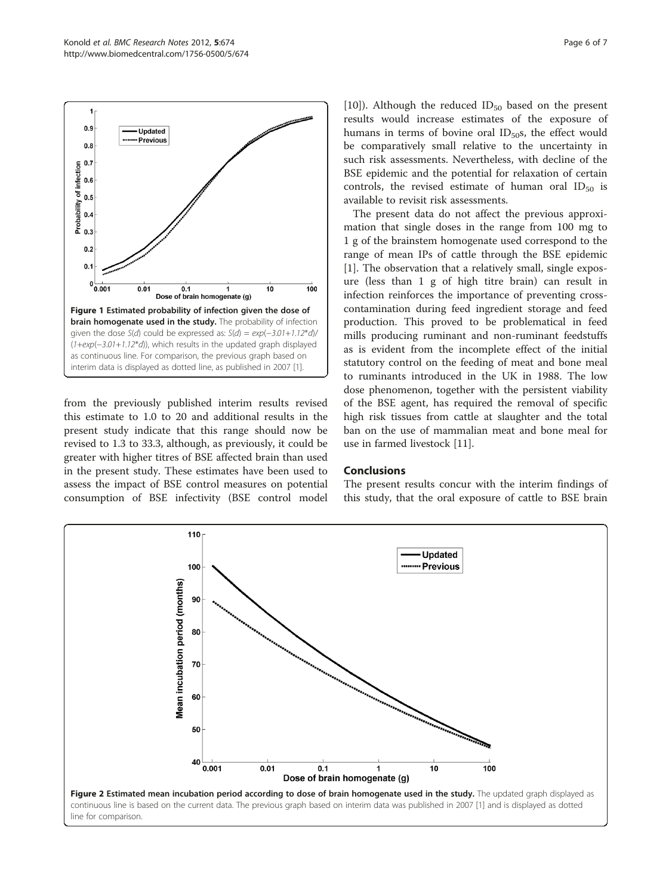<span id="page-5-0"></span>

from the previously published interim results revised this estimate to 1.0 to 20 and additional results in the present study indicate that this range should now be revised to 1.3 to 33.3, although, as previously, it could be greater with higher titres of BSE affected brain than used in the present study. These estimates have been used to assess the impact of BSE control measures on potential consumption of BSE infectivity (BSE control model [[10\]](#page-6-0)). Although the reduced  $ID_{50}$  based on the present results would increase estimates of the exposure of humans in terms of bovine oral  $ID<sub>50</sub>$ s, the effect would be comparatively small relative to the uncertainty in such risk assessments. Nevertheless, with decline of the BSE epidemic and the potential for relaxation of certain controls, the revised estimate of human oral  $ID_{50}$  is available to revisit risk assessments.

The present data do not affect the previous approximation that single doses in the range from 100 mg to 1 g of the brainstem homogenate used correspond to the range of mean IPs of cattle through the BSE epidemic [[1\]](#page-6-0). The observation that a relatively small, single exposure (less than 1 g of high titre brain) can result in infection reinforces the importance of preventing crosscontamination during feed ingredient storage and feed production. This proved to be problematical in feed mills producing ruminant and non-ruminant feedstuffs as is evident from the incomplete effect of the initial statutory control on the feeding of meat and bone meal to ruminants introduced in the UK in 1988. The low dose phenomenon, together with the persistent viability of the BSE agent, has required the removal of specific high risk tissues from cattle at slaughter and the total ban on the use of mammalian meat and bone meal for use in farmed livestock [\[11](#page-6-0)].

#### Conclusions

The present results concur with the interim findings of this study, that the oral exposure of cattle to BSE brain